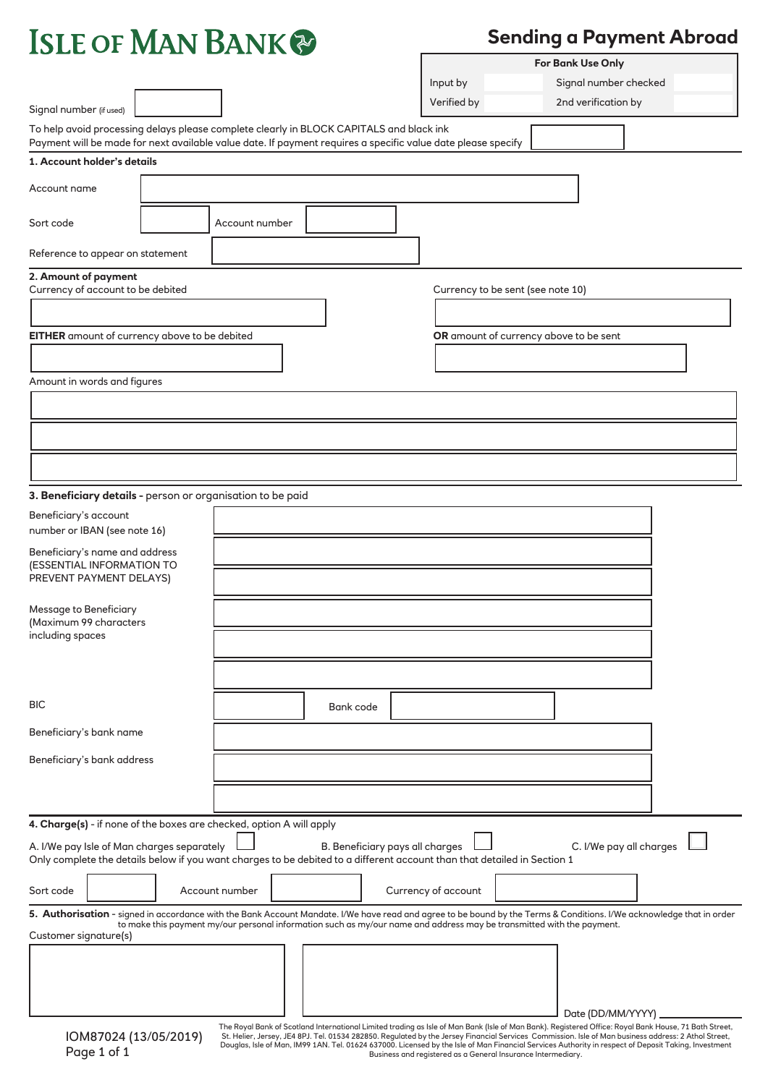| <b>ISLE OF MAN BANK</b>                                                                |                                                                                                                                                                                                         |                                   | For Bank Use Only                      |
|----------------------------------------------------------------------------------------|---------------------------------------------------------------------------------------------------------------------------------------------------------------------------------------------------------|-----------------------------------|----------------------------------------|
|                                                                                        |                                                                                                                                                                                                         | Input by                          | Signal number checked                  |
| Signal number (if used)                                                                |                                                                                                                                                                                                         | Verified by                       | 2nd verification by                    |
|                                                                                        | To help avoid processing delays please complete clearly in BLOCK CAPITALS and black ink<br>Payment will be made for next available value date. If payment requires a specific value date please specify |                                   |                                        |
| 1. Account holder's details                                                            |                                                                                                                                                                                                         |                                   |                                        |
| Account name                                                                           |                                                                                                                                                                                                         |                                   |                                        |
| Sort code                                                                              | Account number                                                                                                                                                                                          |                                   |                                        |
| Reference to appear on statement                                                       |                                                                                                                                                                                                         |                                   |                                        |
| 2. Amount of payment<br>Currency of account to be debited                              |                                                                                                                                                                                                         | Currency to be sent (see note 10) |                                        |
| EITHER amount of currency above to be debited                                          |                                                                                                                                                                                                         |                                   | OR amount of currency above to be sent |
| Amount in words and figures                                                            |                                                                                                                                                                                                         |                                   |                                        |
|                                                                                        |                                                                                                                                                                                                         |                                   |                                        |
|                                                                                        |                                                                                                                                                                                                         |                                   |                                        |
|                                                                                        |                                                                                                                                                                                                         |                                   |                                        |
| 3. Beneficiary details - person or organisation to be paid                             |                                                                                                                                                                                                         |                                   |                                        |
| Beneficiary's account<br>number or IBAN (see note 16)                                  |                                                                                                                                                                                                         |                                   |                                        |
| Beneficiary's name and address<br>(ESSENTIAL INFORMATION TO<br>PREVENT PAYMENT DELAYS) |                                                                                                                                                                                                         |                                   |                                        |
| Message to Beneficiary                                                                 |                                                                                                                                                                                                         |                                   |                                        |

 (Maximum 99 characters including spaces

| <b>BIC</b>                                                           | Bank code                                                                                                                                                                              |
|----------------------------------------------------------------------|----------------------------------------------------------------------------------------------------------------------------------------------------------------------------------------|
| Beneficiary's bank name                                              |                                                                                                                                                                                        |
| Beneficiary's bank address                                           |                                                                                                                                                                                        |
|                                                                      |                                                                                                                                                                                        |
|                                                                      |                                                                                                                                                                                        |
| 4. Charge(s) - if none of the boxes are checked, option A will apply |                                                                                                                                                                                        |
| A. I/We pay Isle of Man charges separately                           | C. I/We pay all charges<br>B. Beneficiary pays all charges<br>Only complete the details below if you want charges to be debited to a different account than that detailed in Section 1 |
|                                                                      |                                                                                                                                                                                        |
| Sort code                                                            | Account number<br>Currency of account                                                                                                                                                  |
|                                                                      | 5. Authorisation - signed in accordance with the Bank Account Mandate. I/We have read and agree to be bound by the Terms & Conditions. I/We acknowledge that in order                  |
| Customer signature(s)                                                | to make this payment my/our personal information such as my/our name and address may be transmitted with the payment.                                                                  |
|                                                                      |                                                                                                                                                                                        |
|                                                                      |                                                                                                                                                                                        |

The Royal Bank of Scotland International Limited trading as Isle of Man Bank (Isle of Man Bank). Registered Office: Royal Bank House, 71 Bath Street,<br>5t. Helier, Jersey, JE4 8PJ. Tel. 01534 282850. Regulated by the Jersey

Date (DD/MM/YYYY)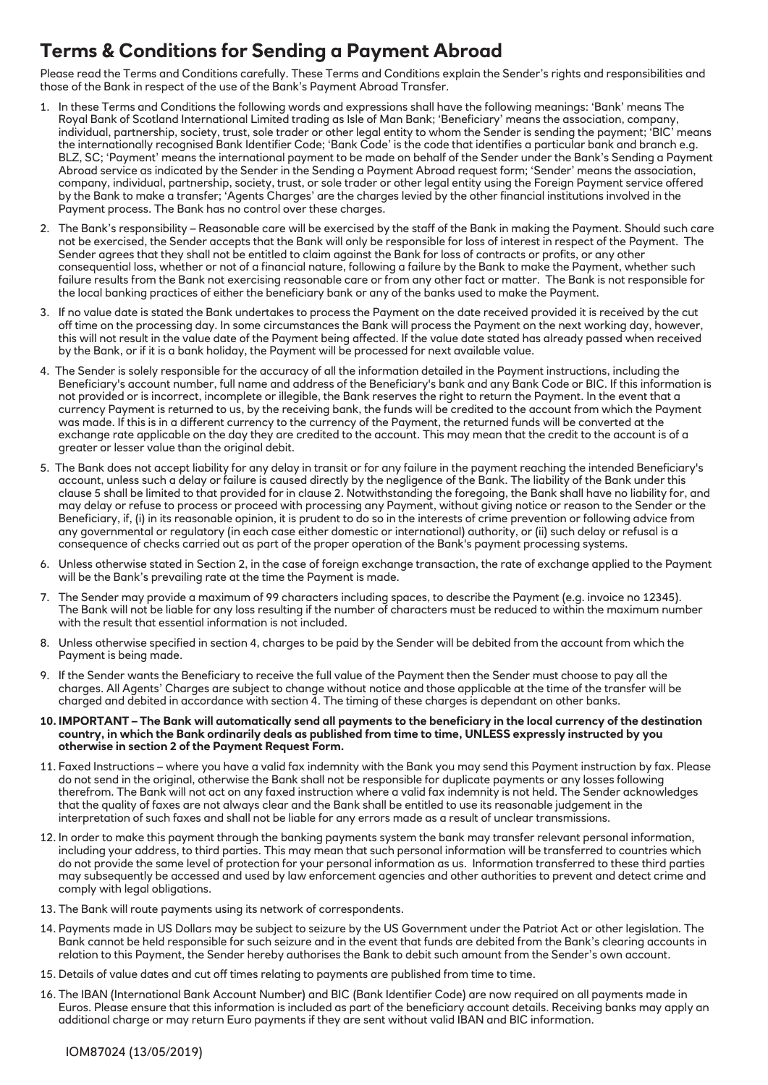# **Terms & Conditions for Sending a Payment Abroad**

Please read the Terms and Conditions carefully. These Terms and Conditions explain the Sender's rights and responsibilities and those of the Bank in respect of the use of the Bank's Payment Abroad Transfer.

- 1. In these Terms and Conditions the following words and expressions shall have the following meanings: 'Bank' means The Royal Bank of Scotland International Limited trading as Isle of Man Bank; 'Beneficiary' means the association, company, individual, partnership, society, trust, sole trader or other legal entity to whom the Sender is sending the payment; 'BIC' means the internationally recognised Bank Identifier Code; 'Bank Code' is the code that identifies a particular bank and branch e.g. BLZ, SC; 'Payment' means the international payment to be made on behalf of the Sender under the Bank's Sending a Payment Abroad service as indicated by the Sender in the Sending a Payment Abroad request form; 'Sender' means the association, company, individual, partnership, society, trust, or sole trader or other legal entity using the Foreign Payment service offered by the Bank to make a transfer; 'Agents Charges' are the charges levied by the other financial institutions involved in the Payment process. The Bank has no control over these charges.
- 2. The Bank's responsibility Reasonable care will be exercised by the staff of the Bank in making the Payment. Should such care not be exercised, the Sender accepts that the Bank will only be responsible for loss of interest in respect of the Payment. The Sender agrees that they shall not be entitled to claim against the Bank for loss of contracts or profits, or any other consequential loss, whether or not of a financial nature, following a failure by the Bank to make the Payment, whether such failure results from the Bank not exercising reasonable care or from any other fact or matter. The Bank is not responsible for the local banking practices of either the beneficiary bank or any of the banks used to make the Payment.
- 3. If no value date is stated the Bank undertakes to process the Payment on the date received provided it is received by the cut off time on the processing day. In some circumstances the Bank will process the Payment on the next working day, however, this will not result in the value date of the Payment being affected. If the value date stated has already passed when received by the Bank, or if it is a bank holiday, the Payment will be processed for next available value.
- 4. The Sender is solely responsible for the accuracy of all the information detailed in the Payment instructions, including the Beneficiary's account number, full name and address of the Beneficiary's bank and any Bank Code or BIC. If this information is not provided or is incorrect, incomplete or illegible, the Bank reserves the right to return the Payment. In the event that a currency Payment is returned to us, by the receiving bank, the funds will be credited to the account from which the Payment was made. If this is in a different currency to the currency of the Payment, the returned funds will be converted at the exchange rate applicable on the day they are credited to the account. This may mean that the credit to the account is of a greater or lesser value than the original debit.
- 5. The Bank does not accept liability for any delay in transit or for any failure in the payment reaching the intended Beneficiary's account, unless such a delay or failure is caused directly by the negligence of the Bank. The liability of the Bank under this clause 5 shall be limited to that provided for in clause 2. Notwithstanding the foregoing, the Bank shall have no liability for, and may delay or refuse to process or proceed with processing any Payment, without giving notice or reason to the Sender or the Beneficiary, if, (i) in its reasonable opinion, it is prudent to do so in the interests of crime prevention or following advice from any governmental or regulatory (in each case either domestic or international) authority, or (ii) such delay or refusal is a consequence of checks carried out as part of the proper operation of the Bank's payment processing systems.
- 6. Unless otherwise stated in Section 2, in the case of foreign exchange transaction, the rate of exchange applied to the Payment will be the Bank's prevailing rate at the time the Payment is made.
- 7. The Sender may provide a maximum of 99 characters including spaces, to describe the Payment (e.g. invoice no 12345). The Bank will not be liable for any loss resulting if the number of characters must be reduced to within the maximum number with the result that essential information is not included.
- 8. Unless otherwise specified in section 4, charges to be paid by the Sender will be debited from the account from which the Payment is being made.
- 9. If the Sender wants the Beneficiary to receive the full value of the Payment then the Sender must choose to pay all the charges. All Agents' Charges are subject to change without notice and those applicable at the time of the transfer will be charged and debited in accordance with section 4. The timing of these charges is dependant on other banks.
- **10. IMPORTANT The Bank will automatically send all payments to the beneficiary in the local currency of the destination country, in which the Bank ordinarily deals as published from time to time, UNLESS expressly instructed by you otherwise in section 2 of the Payment Request Form.**
- 11. Faxed Instructions where you have a valid fax indemnity with the Bank you may send this Payment instruction by fax. Please do not send in the original, otherwise the Bank shall not be responsible for duplicate payments or any losses following therefrom. The Bank will not act on any faxed instruction where a valid fax indemnity is not held. The Sender acknowledges that the quality of faxes are not always clear and the Bank shall be entitled to use its reasonable judgement in the interpretation of such faxes and shall not be liable for any errors made as a result of unclear transmissions.
- 12. In order to make this payment through the banking payments system the bank may transfer relevant personal information, including your address, to third parties. This may mean that such personal information will be transferred to countries which do not provide the same level of protection for your personal information as us. Information transferred to these third parties may subsequently be accessed and used by law enforcement agencies and other authorities to prevent and detect crime and comply with legal obligations.
- 13. The Bank will route payments using its network of correspondents.
- 14. Payments made in US Dollars may be subject to seizure by the US Government under the Patriot Act or other legislation. The Bank cannot be held responsible for such seizure and in the event that funds are debited from the Bank's clearing accounts in relation to this Payment, the Sender hereby authorises the Bank to debit such amount from the Sender's own account.
- 15. Details of value dates and cut off times relating to payments are published from time to time.
- 16. The IBAN (International Bank Account Number) and BIC (Bank Identifier Code) are now required on all payments made in Euros. Please ensure that this information is included as part of the beneficiary account details. Receiving banks may apply an additional charge or may return Euro payments if they are sent without valid IBAN and BIC information.